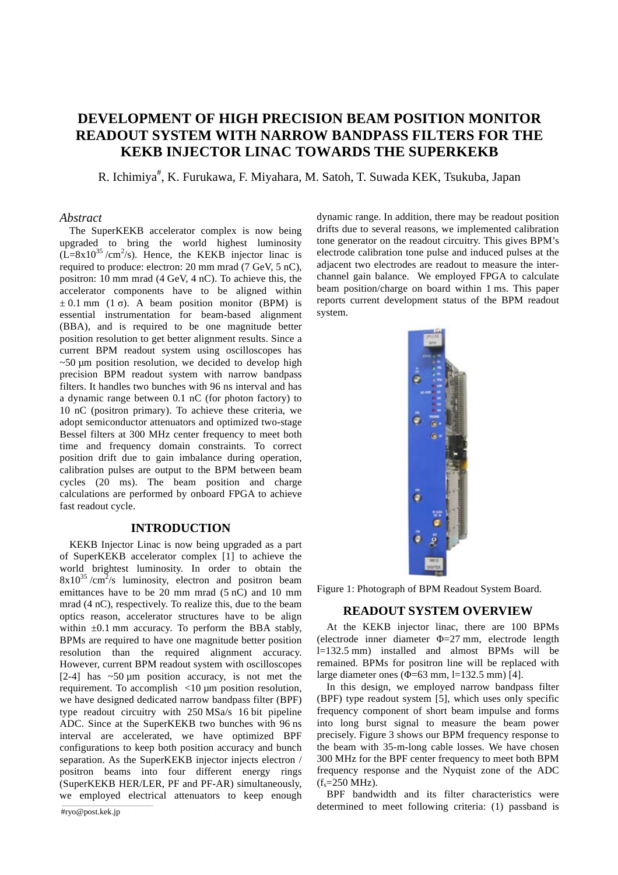# **DEVELOPMENT OF HIGH PRECISION BEAM POSITION MONITOR READOUT SYSTEM WITH NARROW BANDPASS FILTERS FOR THE KEKB INJECTOR LINAC TOWARDS THE SUPERKEKB**

R. Ichimiya<sup>#</sup>, K. Furukawa, F. Miyahara, M. Satoh, T. Suwada KEK, Tsukuba, Japan

#### *Abstract*

The SuperKEKB accelerator complex is now being upgraded to bring the world highest luminosity  $(L=8x10^{35}/cm^2/s)$ . Hence, the KEKB injector linac is required to produce: electron: 20 mm mrad (7 GeV, 5 nC), positron: 10 mm mrad (4 GeV, 4 nC). To achieve this, the accelerator components have to be aligned within  $\pm$  0.1 mm (1  $\sigma$ ). A beam position monitor (BPM) is essential instrument system. (BBA), and is required to be one magnitude better position resolution to get better alignment results. Since a current BPM readout system using oscilloscopes has ~50 μm position resolution, we decided to develop high precision BPM readout system with narrow bandpass filters. It handles two bunches with 96 ns interval and has a dynamic range between 0.1 nC (for photon factory) to 10 nC (positron primary). To achieve these criteria, we adopt semiconductor attenuators and optimized two-stage Bessel filters at 300 MHz center frequency to meet both time and frequency domain constraints. To correct position drift due to gain imbalance during operation, calibration pulses are output to the BPM between beam cycles (20 ms). The beam position and charge calculations are performed by onboard FPGA to achieve fast readout cycle.  $\mathcal{L}$ 

#### **INTRODUCTION**  䌁䋯䌄 ✛䋺㪫㪩㪠㪞ല㩷ᯍ䋺㪘㪆㪛䊶Ṷ▚ಣℂਛ 䌔䌒䌉䌇 ✛䋺䌔䌒䌉䌇ᬌ 㪚㪘㪣 ✛䋺㪚㪘㪣ല䇭ᯍ䋺㪚㪘㪣േਛ

KEKB Injector Linac is now being upgraded as a part of SuperKEKB accelerator complex [1] to achieve the world brightest luminosity. In order to obtain the  $8x10^{35}$ /cm<sup>2</sup>/s luminosity, electron and positron beam emittances have to be 20 mm mrad (5 nC) and 10 mm mrad (4 nC), respectively. To realize this, due to the beam optics reason, accelerator structures have to be align within  $\pm 0.1$  mm accuracy. To perform the BBA stably, BPMs are required to have one magnitude better position resolution than the required alignment accuracy. However, current BPM readout system with oscilloscopes [2-4] has  $\sim$  50  $\mu$ m position accuracy, is not met the requirement. To accomplish <10  $\mu$ m position resolution, we have designed dedicated narrow bandpass filter (BPF) type readout circuitry with 250 MSa/s 16 bit pipeline ADC. Since at the SuperKEKB two bunches with 96 ns interval are accelerated, we have optimized BPF configurations to keep both position accuracy and bunch separation. As the SuperKEKB injector injects electron / positron beams into four different energy rings (SuperKEKB HER/LER, PF and PF-AR) simultaneously, we employed electrical attenuators to keep enough

dynamic range. In addition, there may be readout position drifts due to several reasons, we implemented calibration tone generator on the readout circuitry. This gives BPM's electrode calibration tone pulse and induced pulses at the adjacent two electrodes are readout to measure the interhieve this, the channel gain balance. We employed FPGA to calculate a aligned within beam position/charge on board within 1 ms. This paper ion monitor (BPM) is reports current development status of the BPM readout system.  $\Gamma$ 



Figure 1: Photograph of BPM Readout System Board.  $\Box$ 

# READOUT SYSTEM OVERVIEW

At the KEKB injector linac, there are 100 BPMs (electrode inner diameter  $\Phi = 27$  mm, electrode length  $l=132.5$  mm) installed and almost BPMs will be remained. BPMs for positron line will be replaced with large diameter ones  $(\Phi = 63 \text{ mm}, \text{ } l = 132.5 \text{ mm})$  [4].  $^{\prime}$ RPMs for nositr le inner diameter

n position resolution, In this design, we employed narrow bandpass filter (BPF) type readout system [5], which uses only specific frequency component of short beam impulse and forms two bunches with 96 ns into long burst signal to measure the beam power precisely. Figure 3 shows our BPM frequency response to the beam with 35-m-long cable losses. We have chosen 300 MHz for the BPF center frequency to meet both BPM frequency response and the Nyquist zone of the ADC  $(f_s = 250 \text{ MHz}).$ 

BPF bandwidth and its filter characteristics were determined to meet following criteria: (1) passband is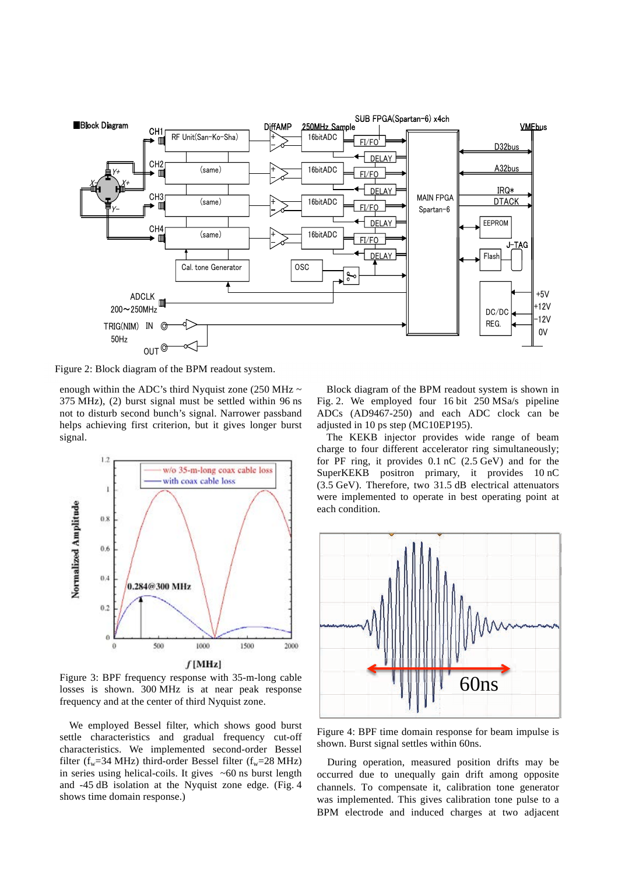

Figure 2: Block diagram of the BPM readout system.

enough within the ADC's third Nyquist zone  $(250 \text{ MHz} \sim 10^{-10})$ 375 MHz), (2) burst signal must be settled within 96 ns not to disturb second bunch's signal. Narrower passband helps achieving first criterion, but it gives longer burst signal.



Figure 3: BPF frequency response with 35-m-long cable losses is shown. 300 MHz is at near peak response frequency and at the center of third Nyquist zone.

We employed Bessel filter, which shows good burst settle characteristics and gradual frequency cut-off characteristics. We implemented second-order Bessel filter  $(f_w=34 \text{ MHz})$  third-order Bessel filter  $(f_w=28 \text{ MHz})$ in series using helical-coils. It gives  $~50$  ns burst length and -45 dB isolation at the Nyquist zone edge. (Fig. 4 shows time domain response.)

Block diagram of the BPM readout system is shown in Fig. 2. We employed four 16 bit 250 MSa/s pipeline ADCs (AD9467-250) and each ADC clock can be adjusted in 10 ps step (MC10EP195). 㩷㪹㫆㪸㫉㪻

The KEKB injector provides wide range of beam charge to four different accelerator ring simultaneously; for PF ring, it provides 0.1 nC (2.5 GeV) and for the SuperKEKB positron primary, it provides 10 nC (3.5 GeV). Therefore, two 31.5 dB electrical attenuators were implemented to operate in best operating point at each condition.



Figure 4: BPF time domain response for beam impulse is shown. Burst signal settles within 60ns.

During operation, measured position drifts may be occurred due to unequally gain drift among opposite channels. To compensate it, calibration tone generator was implemented. This gives calibration tone pulse to a BPM electrode and induced charges at two adjacent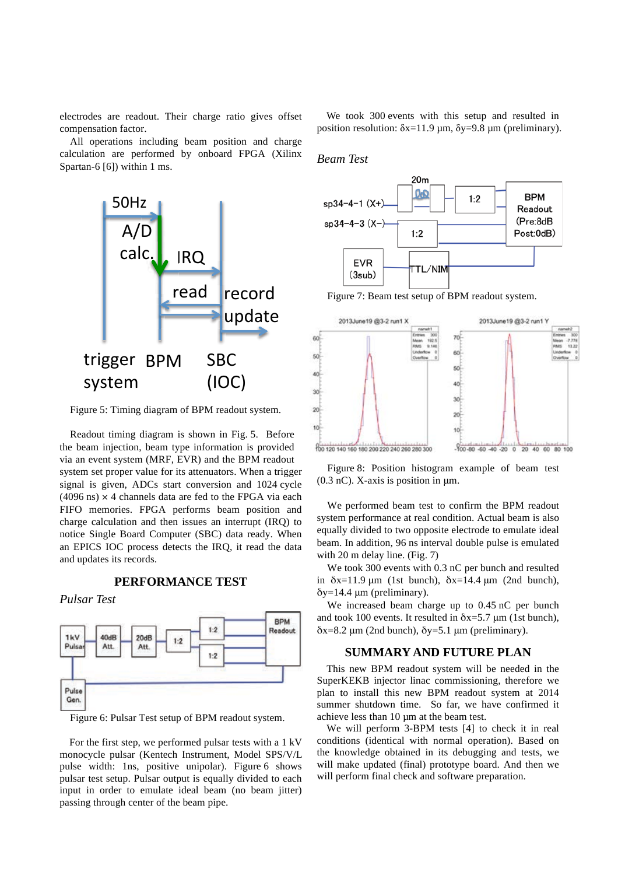electrodes are readout. Their charge ratio gives offset compensation factor.

All operations including beam position and charge calculation are performed by onboard FPGA (Xilinx Spartan-6 [6]) within 1 ms.



Figure 5: Timing diagram of BPM readout system.

Readout timing diagram is shown in Fig. 5. Before the beam injection, beam type information is provided via an event system (MRF, EVR) and the BPM readout system set proper value for its attenuators. When a trigger signal is given, ADCs start conversion and 1024 cycle  $(4096 \text{ ns}) \times 4$  channels data are fed to the FPGA via each FIFO memories. FPGA performs beam position and charge calculation and then issues an interrupt (IRQ) to notice Single Board Computer (SBC) data ready. When an EPICS IOC process detects the IRQ, it read the data and updates its records.

**PERFORMANCE TEST**

*Pulsar Test*



Figure 6: Pulsar Test setup of BPM readout system.

For the first step, we performed pulsar tests with a 1 kV monocycle pulsar (Kentech Instrument, Model SPS/V/L pulse width: 1ns, positive unipolar). Figure 6 shows pulsar test setup. Pulsar output is equally divided to each input in order to emulate ideal beam (no beam jitter) passing through center of the beam pipe.

We took 300 events with this setup and resulted in position resolution:  $\delta x=11.9 \mu m$ ,  $\delta y=9.8 \mu m$  (preliminary).

### *Beam Test*



Figure 7: Beam test setup of BPM readout system.



Figure 8: Position histogram example of beam test  $(0.3 \text{ nC})$ . X-axis is position in  $\mu$ m.

We performed beam test to confirm the BPM readout system performance at real condition. Actual beam is also equally divided to two opposite electrode to emulate ideal beam. In addition, 96 ns interval double pulse is emulated with 20 m delay line. (Fig. 7)

We took 300 events with 0.3 nC per bunch and resulted in  $\delta x=11.9$   $\mu$ m (1st bunch),  $\delta x=14.4$   $\mu$ m (2nd bunch),  $\delta$ y=14.4 µm (preliminary).

We increased beam charge up to 0.45 nC per bunch and took 100 events. It resulted in  $\delta x=5.7 \mu m$  (1st bunch),  $\delta x=8.2 \mu m$  (2nd bunch),  $\delta y=5.1 \mu m$  (preliminary).

## **SUMMARY AND FUTURE PLAN**

This new BPM readout system will be needed in the SuperKEKB injector linac commissioning, therefore we plan to install this new BPM readout system at 2014 summer shutdown time. So far, we have confirmed it achieve less than 10 µm at the beam test.

We will perform 3-BPM tests [4] to check it in real conditions (identical with normal operation). Based on the knowledge obtained in its debugging and tests, we will make updated (final) prototype board. And then we will perform final check and software preparation.